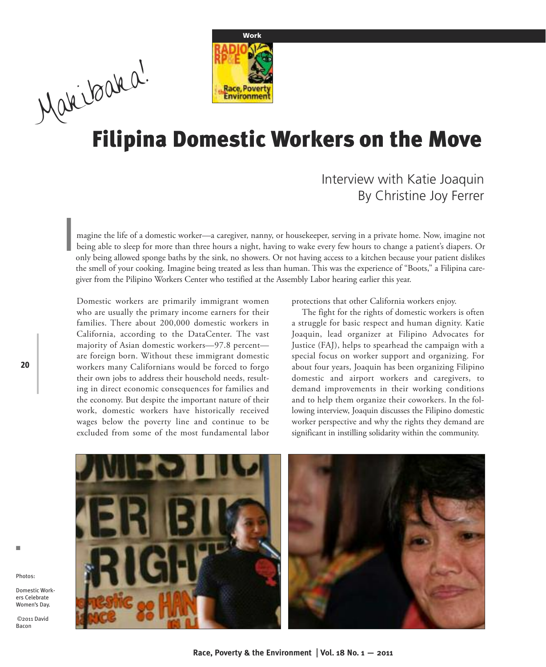

# **Filipina Domestic Workers on the Move** Makibaaka!

# Interview with Katie Joaquin By Christine Joy Ferrer

magine the life of a domestic worker—a caregiver, nanny, or housekeeper, serving in a private home. Now, imagine not being able to sleep for more than three hours a night, having to wake every few hours to change a patient's diapers. Or only being allowed sponge baths by the sink, no showers. Or not having access to a kitchen because your patient dislikes the smell of your cooking. Imagine being treated as less than human. This was the experience of "Boots," a Filipina caregiver from the Pilipino Workers Center who testified at the Assembly Labor hearing earlier this year. I

Domestic workers are primarily immigrant women who are usually the primary income earners for their families. There about 200,000 domestic workers in California, according to the DataCenter. The vast majority of Asian domestic workers—97.8 percent are foreign born. Without these immigrant domestic workers many Californians would be forced to forgo their own jobs to address their household needs, resulting in direct economic consequences for families and the economy. But despite the important nature of their work, domestic workers have historically received wages below the poverty line and continue to be excluded from some of the most fundamental labor

protections that other California workers enjoy.

The fight for the rights of domestic workers is often a struggle for basic respect and human dignity. Katie Joaquin, lead organizer at Filipino Advocates for Justice (FAJ), helps to spearhead the campaign with a special focus on worker support and organizing. For about four years, Joaquin has been organizing Filipino domestic and airport workers and caregivers, to demand improvements in their working conditions and to help them organize their coworkers. In the following interview, Joaquin discusses the Filipino domestic worker perspective and why the rights they demand are significant in instilling solidarity within the community.



Photos: Domestic Workers Celebrate

n

**20**

©2011 David Bacon

Women's Day.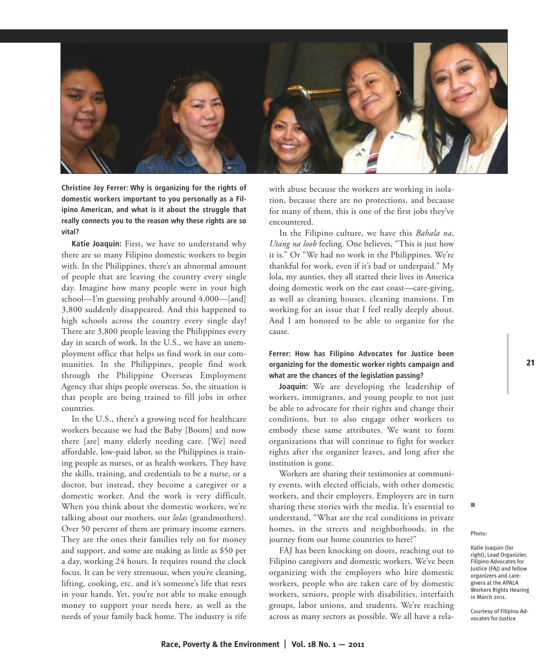

**Christine Joy Ferrer: Why is organizing for the rights of domestic workers important to you personally as a Filipino American, and what is it about the struggle that really connects you to the reason why these rights are so vital?**

**Katie Joaquin:** First, we have to understand why there are so many Filipino domestic workers to begin with. In the Philippines, there's an abnormal amount of people that are leaving the country every single day. Imagine how many people were in your high school—I'm guessing probably around 4,000—[and] 3,800 suddenly disappeared. And this happened to high schools across the country every single day! There are 3,800 people leaving the Philippines every day in search of work. In the U.S., we have an unemployment office that helps us find work in our communities. In the Philippines, people find work through the Philippine Overseas Employment Agency that ships people overseas. So, the situation is that people are being trained to fill jobs in other countries.

In the U.S., there's a growing need for healthcare workers because we had the Baby [Boom] and now there [are] many elderly needing care. [We] need affordable, low-paid labor, so the Philippines is training people as nurses, or as health workers. They have the skills, training, and credentials to be a nurse, or a doctor, but instead, they become a caregiver or a domestic worker. And the work is very difficult. When you think about the domestic workers, we're talking about our mothers, our *lolas* (grandmothers). Over 50 percent of them are primary income earners. They are the ones their families rely on for money and support, and some are making as little as \$50 per a day, working 24 hours. It requires round the clock focus. It can be very strenuous, when you're cleaning, lifting, cooking, etc. and it's someone's life that rests in your hands. Yet, you're not able to make enough money to support your needs here, as well as the needs of your family back home. The industry is rife with abuse because the workers are working in isolation, because there are no protections, and because for many of them, this is one of the first jobs they've encountered.

In the Filipino culture, we have this *Bahala na*, *Utang na loob* feeling. One believes, "This is just how it is." Or "We had no work in the Philippines. We're thankful for work, even if it's bad or underpaid." My lola, my aunties, they all started their lives in America doing domestic work on the east coast—care-giving, as well as cleaning houses, cleaning mansions. I'm working for an issue that I feel really deeply about. And I am honored to be able to organize for the cause.

### **Ferrer: How has Filipino Advocates for Justice been organizing for the domestic worker rights campaign and what are the chances of the legislation passing?**

**Joaquin:** We are developing the leadership of workers, immigrants, and young people to not just be able to advocate for their rights and change their conditions, but to also engage other workers to embody these same attributes. We want to form organizations that will continue to fight for worker rights after the organizer leaves, and long after the institution is gone.

Workers are sharing their testimonies at community events, with elected officials, with other domestic workers, and their employers. Employers are in turn sharing these stories with the media. It's essential to understand, "What are the real conditions in private homes, in the streets and neighborhoods, in the journey from our home countries to here?"

FAJ has been knocking on doors, reaching out to Filipino caregivers and domestic workers. We've been organizing with the employers who hire domestic workers, people who are taken care of by domestic workers, seniors, people with disabilities, interfaith groups, labor unions, and students. We're reaching across as many sectors as possible. We all have a rela-

#### Photo:

n

Katie Joaquin (far right), Lead Organizier, Filipino Advocates for Justice (FAJ) and fellow organizers and caregivers at the APALA Workers Rights Hearing in March 2011.

Courtesy of Filipino Advocates for Justice